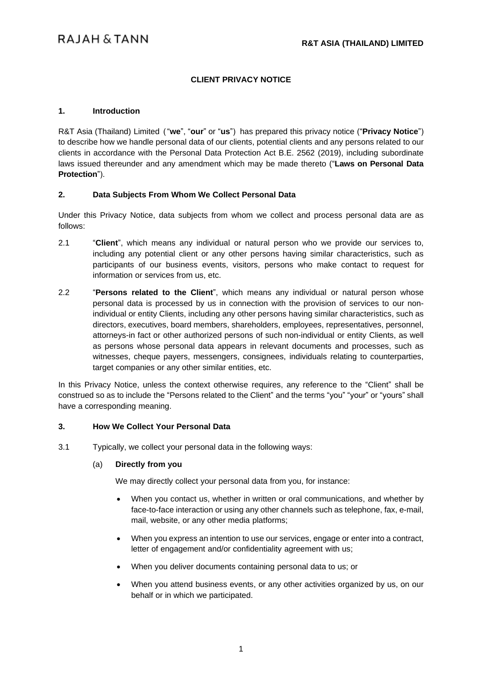## **CLIENT PRIVACY NOTICE**

#### **1. Introduction**

R&T Asia (Thailand) Limited ("**we**", "**our**" or "**us**") has prepared this privacy notice ("**Privacy Notice**") to describe how we handle personal data of our clients, potential clients and any persons related to our clients in accordance with the Personal Data Protection Act B.E. 2562 (2019), including subordinate laws issued thereunder and any amendment which may be made thereto ("**Laws on Personal Data Protection**").

#### **2. Data Subjects From Whom We Collect Personal Data**

Under this Privacy Notice, data subjects from whom we collect and process personal data are as follows:

- 2.1 "**Client**", which means any individual or natural person who we provide our services to, including any potential client or any other persons having similar characteristics, such as participants of our business events, visitors, persons who make contact to request for information or services from us, etc.
- 2.2 "**Persons related to the Client**", which means any individual or natural person whose personal data is processed by us in connection with the provision of services to our nonindividual or entity Clients, including any other persons having similar characteristics, such as directors, executives, board members, shareholders, employees, representatives, personnel, attorneys-in fact or other authorized persons of such non-individual or entity Clients, as well as persons whose personal data appears in relevant documents and processes, such as witnesses, cheque payers, messengers, consignees, individuals relating to counterparties, target companies or any other similar entities, etc.

In this Privacy Notice, unless the context otherwise requires, any reference to the "Client" shall be construed so as to include the "Persons related to the Client" and the terms "you" "your" or "yours" shall have a corresponding meaning.

#### **3. How We Collect Your Personal Data**

3.1 Typically, we collect your personal data in the following ways:

#### (a) **Directly from you**

We may directly collect your personal data from you, for instance:

- When you contact us, whether in written or oral communications, and whether by face-to-face interaction or using any other channels such as telephone, fax, e-mail, mail, website, or any other media platforms;
- When you express an intention to use our services, engage or enter into a contract, letter of engagement and/or confidentiality agreement with us;
- When you deliver documents containing personal data to us; or
- When you attend business events, or any other activities organized by us, on our behalf or in which we participated.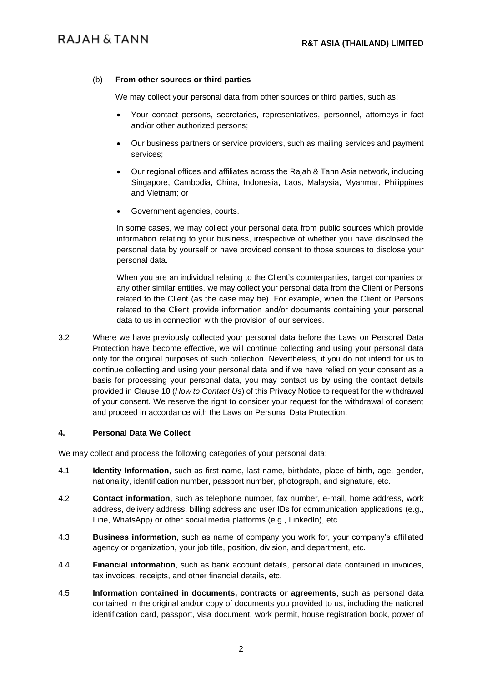#### (b) **From other sources or third parties**

We may collect your personal data from other sources or third parties, such as:

- Your contact persons, secretaries, representatives, personnel, attorneys-in-fact and/or other authorized persons;
- Our business partners or service providers, such as mailing services and payment services;
- Our regional offices and affiliates across the Rajah & Tann Asia network, including Singapore, Cambodia, China, Indonesia, Laos, Malaysia, Myanmar, Philippines and Vietnam; or
- Government agencies, courts.

In some cases, we may collect your personal data from public sources which provide information relating to your business, irrespective of whether you have disclosed the personal data by yourself or have provided consent to those sources to disclose your personal data.

When you are an individual relating to the Client's counterparties, target companies or any other similar entities, we may collect your personal data from the Client or Persons related to the Client (as the case may be). For example, when the Client or Persons related to the Client provide information and/or documents containing your personal data to us in connection with the provision of our services.

3.2 Where we have previously collected your personal data before the Laws on Personal Data Protection have become effective, we will continue collecting and using your personal data only for the original purposes of such collection. Nevertheless, if you do not intend for us to continue collecting and using your personal data and if we have relied on your consent as a basis for processing your personal data, you may contact us by using the contact details provided in Clause [10](#page-7-0) (*How to Contact Us*) of this Privacy Notice to request for the withdrawal of your consent. We reserve the right to consider your request for the withdrawal of consent and proceed in accordance with the Laws on Personal Data Protection.

#### **4. Personal Data We Collect**

We may collect and process the following categories of your personal data:

- 4.1 **Identity Information**, such as first name, last name, birthdate, place of birth, age, gender, nationality, identification number, passport number, photograph, and signature, etc.
- 4.2 **Contact information**, such as telephone number, fax number, e-mail, home address, work address, delivery address, billing address and user IDs for communication applications (e.g., Line, WhatsApp) or other social media platforms (e.g., LinkedIn), etc.
- 4.3 **Business information**, such as name of company you work for, your company's affiliated agency or organization, your job title, position, division, and department, etc.
- 4.4 **Financial information**, such as bank account details, personal data contained in invoices, tax invoices, receipts, and other financial details, etc.
- 4.5 **Information contained in documents, contracts or agreements**, such as personal data contained in the original and/or copy of documents you provided to us, including the national identification card, passport, visa document, work permit, house registration book, power of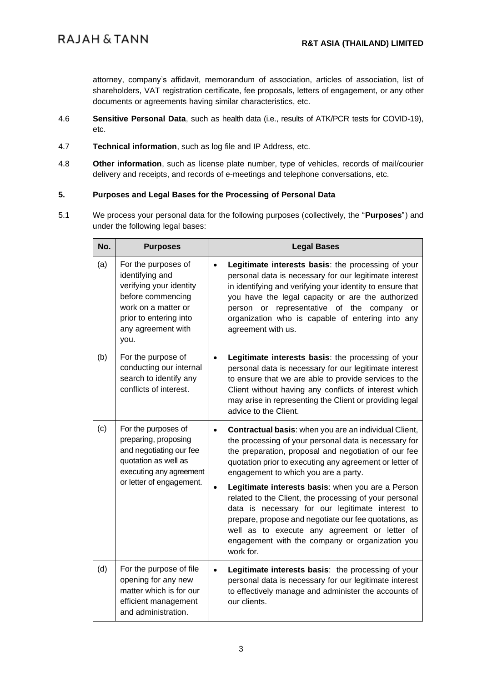attorney, company's affidavit, memorandum of association, articles of association, list of shareholders, VAT registration certificate, fee proposals, letters of engagement, or any other documents or agreements having similar characteristics, etc.

- 4.6 **Sensitive Personal Data**, such as health data (i.e., results of ATK/PCR tests for COVID-19), etc.
- 4.7 **Technical information**, such as log file and IP Address, etc.
- 4.8 **Other information**, such as license plate number, type of vehicles, records of mail/courier delivery and receipts, and records of e-meetings and telephone conversations, etc.

# **5. Purposes and Legal Bases for the Processing of Personal Data**

5.1 We process your personal data for the following purposes (collectively, the "**Purposes**") and under the following legal bases:

| No. | <b>Purposes</b>                                                                                                                                                       | <b>Legal Bases</b>                                                                                                                                                                                                                                                                                                                                                                                                                                                                                                                                                                                                     |
|-----|-----------------------------------------------------------------------------------------------------------------------------------------------------------------------|------------------------------------------------------------------------------------------------------------------------------------------------------------------------------------------------------------------------------------------------------------------------------------------------------------------------------------------------------------------------------------------------------------------------------------------------------------------------------------------------------------------------------------------------------------------------------------------------------------------------|
| (a) | For the purposes of<br>identifying and<br>verifying your identity<br>before commencing<br>work on a matter or<br>prior to entering into<br>any agreement with<br>you. | Legitimate interests basis: the processing of your<br>$\bullet$<br>personal data is necessary for our legitimate interest<br>in identifying and verifying your identity to ensure that<br>you have the legal capacity or are the authorized<br>representative of the<br>person or<br>company<br><b>or</b><br>organization who is capable of entering into any<br>agreement with us.                                                                                                                                                                                                                                    |
| (b) | For the purpose of<br>conducting our internal<br>search to identify any<br>conflicts of interest.                                                                     | Legitimate interests basis: the processing of your<br>personal data is necessary for our legitimate interest<br>to ensure that we are able to provide services to the<br>Client without having any conflicts of interest which<br>may arise in representing the Client or providing legal<br>advice to the Client.                                                                                                                                                                                                                                                                                                     |
| (c) | For the purposes of<br>preparing, proposing<br>and negotiating our fee<br>quotation as well as<br>executing any agreement<br>or letter of engagement.                 | Contractual basis: when you are an individual Client,<br>the processing of your personal data is necessary for<br>the preparation, proposal and negotiation of our fee<br>quotation prior to executing any agreement or letter of<br>engagement to which you are a party.<br>Legitimate interests basis: when you are a Person<br>related to the Client, the processing of your personal<br>data is necessary for our legitimate interest to<br>prepare, propose and negotiate our fee quotations, as<br>well as to execute any agreement or letter of<br>engagement with the company or organization you<br>work for. |
| (d) | For the purpose of file<br>opening for any new<br>matter which is for our<br>efficient management<br>and administration.                                              | Legitimate interests basis: the processing of your<br>$\bullet$<br>personal data is necessary for our legitimate interest<br>to effectively manage and administer the accounts of<br>our clients.                                                                                                                                                                                                                                                                                                                                                                                                                      |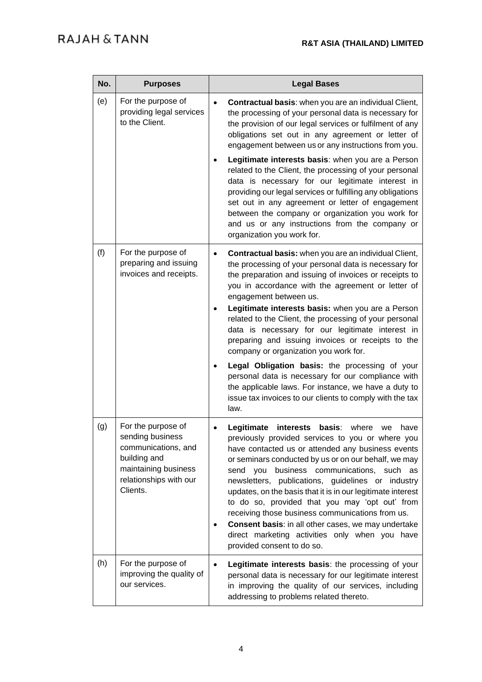| No. | <b>Purposes</b>                                                                                                                             | <b>Legal Bases</b>                                                                                                                                                                                                                                                                                                                                                                                                                                                                                                                                                                                                                               |
|-----|---------------------------------------------------------------------------------------------------------------------------------------------|--------------------------------------------------------------------------------------------------------------------------------------------------------------------------------------------------------------------------------------------------------------------------------------------------------------------------------------------------------------------------------------------------------------------------------------------------------------------------------------------------------------------------------------------------------------------------------------------------------------------------------------------------|
| (e) | For the purpose of<br>providing legal services<br>to the Client.                                                                            | Contractual basis: when you are an individual Client,<br>the processing of your personal data is necessary for<br>the provision of our legal services or fulfilment of any<br>obligations set out in any agreement or letter of<br>engagement between us or any instructions from you.<br>Legitimate interests basis: when you are a Person                                                                                                                                                                                                                                                                                                      |
|     |                                                                                                                                             | related to the Client, the processing of your personal<br>data is necessary for our legitimate interest in<br>providing our legal services or fulfilling any obligations<br>set out in any agreement or letter of engagement<br>between the company or organization you work for<br>and us or any instructions from the company or<br>organization you work for.                                                                                                                                                                                                                                                                                 |
| (f) | For the purpose of<br>preparing and issuing<br>invoices and receipts.                                                                       | Contractual basis: when you are an individual Client,<br>the processing of your personal data is necessary for<br>the preparation and issuing of invoices or receipts to<br>you in accordance with the agreement or letter of<br>engagement between us.<br>Legitimate interests basis: when you are a Person<br>related to the Client, the processing of your personal<br>data is necessary for our legitimate interest in<br>preparing and issuing invoices or receipts to the<br>company or organization you work for.                                                                                                                         |
|     |                                                                                                                                             | Legal Obligation basis: the processing of your<br>personal data is necessary for our compliance with<br>the applicable laws. For instance, we have a duty to<br>issue tax invoices to our clients to comply with the tax<br>law.                                                                                                                                                                                                                                                                                                                                                                                                                 |
| (g) | For the purpose of<br>sending business<br>communications, and<br>building and<br>maintaining business<br>relationships with our<br>Clients. | basis:<br>Legitimate<br>interests<br>where<br>we<br>have<br>previously provided services to you or where you<br>have contacted us or attended any business events<br>or seminars conducted by us or on our behalf, we may<br>business communications, such<br>send<br>you<br>as<br>newsletters, publications, guidelines or industry<br>updates, on the basis that it is in our legitimate interest<br>to do so, provided that you may 'opt out' from<br>receiving those business communications from us.<br>Consent basis: in all other cases, we may undertake<br>direct marketing activities only when you have<br>provided consent to do so. |
| (h) | For the purpose of<br>improving the quality of<br>our services.                                                                             | Legitimate interests basis: the processing of your<br>personal data is necessary for our legitimate interest<br>in improving the quality of our services, including<br>addressing to problems related thereto.                                                                                                                                                                                                                                                                                                                                                                                                                                   |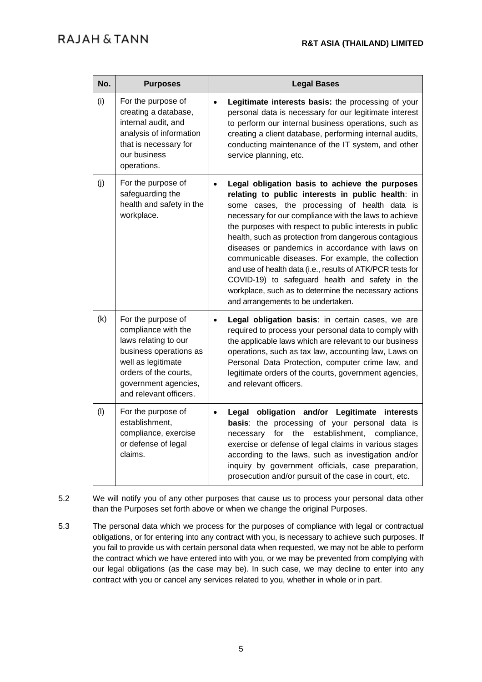| No. | <b>Purposes</b>                                                                                                                                                                              | <b>Legal Bases</b>                                                                                                                                                                                                                                                                                                                                                                                                                                                                                                                                                                                                                                                     |
|-----|----------------------------------------------------------------------------------------------------------------------------------------------------------------------------------------------|------------------------------------------------------------------------------------------------------------------------------------------------------------------------------------------------------------------------------------------------------------------------------------------------------------------------------------------------------------------------------------------------------------------------------------------------------------------------------------------------------------------------------------------------------------------------------------------------------------------------------------------------------------------------|
| (i) | For the purpose of<br>creating a database,<br>internal audit, and<br>analysis of information<br>that is necessary for<br>our business<br>operations.                                         | Legitimate interests basis: the processing of your<br>$\bullet$<br>personal data is necessary for our legitimate interest<br>to perform our internal business operations, such as<br>creating a client database, performing internal audits,<br>conducting maintenance of the IT system, and other<br>service planning, etc.                                                                                                                                                                                                                                                                                                                                           |
| (i) | For the purpose of<br>safeguarding the<br>health and safety in the<br>workplace.                                                                                                             | Legal obligation basis to achieve the purposes<br>$\bullet$<br>relating to public interests in public health: in<br>some cases, the processing of health data is<br>necessary for our compliance with the laws to achieve<br>the purposes with respect to public interests in public<br>health, such as protection from dangerous contagious<br>diseases or pandemics in accordance with laws on<br>communicable diseases. For example, the collection<br>and use of health data (i.e., results of ATK/PCR tests for<br>COVID-19) to safeguard health and safety in the<br>workplace, such as to determine the necessary actions<br>and arrangements to be undertaken. |
| (k) | For the purpose of<br>compliance with the<br>laws relating to our<br>business operations as<br>well as legitimate<br>orders of the courts,<br>government agencies,<br>and relevant officers. | Legal obligation basis: in certain cases, we are<br>required to process your personal data to comply with<br>the applicable laws which are relevant to our business<br>operations, such as tax law, accounting law, Laws on<br>Personal Data Protection, computer crime law, and<br>legitimate orders of the courts, government agencies,<br>and relevant officers.                                                                                                                                                                                                                                                                                                    |
| (1) | For the purpose of<br>establishment,<br>compliance, exercise<br>or defense of legal<br>claims.                                                                                               | obligation and/or Legitimate interests<br>Legal<br>$\bullet$<br>basis: the processing of your personal data is<br>for<br>establishment,<br>the<br>compliance,<br>necessary<br>exercise or defense of legal claims in various stages<br>according to the laws, such as investigation and/or<br>inquiry by government officials, case preparation,<br>prosecution and/or pursuit of the case in court, etc.                                                                                                                                                                                                                                                              |

- 5.2 We will notify you of any other purposes that cause us to process your personal data other than the Purposes set forth above or when we change the original Purposes.
- 5.3 The personal data which we process for the purposes of compliance with legal or contractual obligations, or for entering into any contract with you, is necessary to achieve such purposes. If you fail to provide us with certain personal data when requested, we may not be able to perform the contract which we have entered into with you, or we may be prevented from complying with our legal obligations (as the case may be). In such case, we may decline to enter into any contract with you or cancel any services related to you, whether in whole or in part.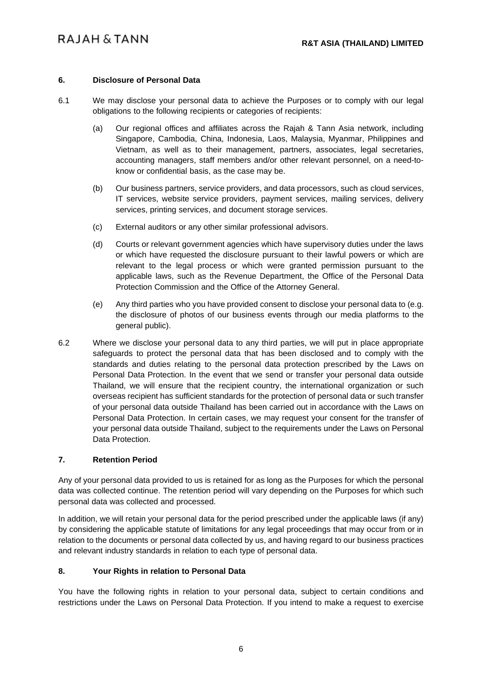# **6. Disclosure of Personal Data**

- 6.1 We may disclose your personal data to achieve the Purposes or to comply with our legal obligations to the following recipients or categories of recipients:
	- (a) Our regional offices and affiliates across the Rajah & Tann Asia network, including Singapore, Cambodia, China, Indonesia, Laos, Malaysia, Myanmar, Philippines and Vietnam, as well as to their management, partners, associates, legal secretaries, accounting managers, staff members and/or other relevant personnel, on a need-toknow or confidential basis, as the case may be.
	- (b) Our business partners, service providers, and data processors, such as cloud services, IT services, website service providers, payment services, mailing services, delivery services, printing services, and document storage services.
	- (c) External auditors or any other similar professional advisors.
	- (d) Courts or relevant government agencies which have supervisory duties under the laws or which have requested the disclosure pursuant to their lawful powers or which are relevant to the legal process or which were granted permission pursuant to the applicable laws, such as the Revenue Department, the Office of the Personal Data Protection Commission and the Office of the Attorney General.
	- (e) Any third parties who you have provided consent to disclose your personal data to (e.g. the disclosure of photos of our business events through our media platforms to the general public).
- 6.2 Where we disclose your personal data to any third parties, we will put in place appropriate safeguards to protect the personal data that has been disclosed and to comply with the standards and duties relating to the personal data protection prescribed by the Laws on Personal Data Protection. In the event that we send or transfer your personal data outside Thailand, we will ensure that the recipient country, the international organization or such overseas recipient has sufficient standards for the protection of personal data or such transfer of your personal data outside Thailand has been carried out in accordance with the Laws on Personal Data Protection. In certain cases, we may request your consent for the transfer of your personal data outside Thailand, subject to the requirements under the Laws on Personal Data Protection.

## **7. Retention Period**

Any of your personal data provided to us is retained for as long as the Purposes for which the personal data was collected continue. The retention period will vary depending on the Purposes for which such personal data was collected and processed.

In addition, we will retain your personal data for the period prescribed under the applicable laws (if any) by considering the applicable statute of limitations for any legal proceedings that may occur from or in relation to the documents or personal data collected by us, and having regard to our business practices and relevant industry standards in relation to each type of personal data.

## **8. Your Rights in relation to Personal Data**

You have the following rights in relation to your personal data, subject to certain conditions and restrictions under the Laws on Personal Data Protection. If you intend to make a request to exercise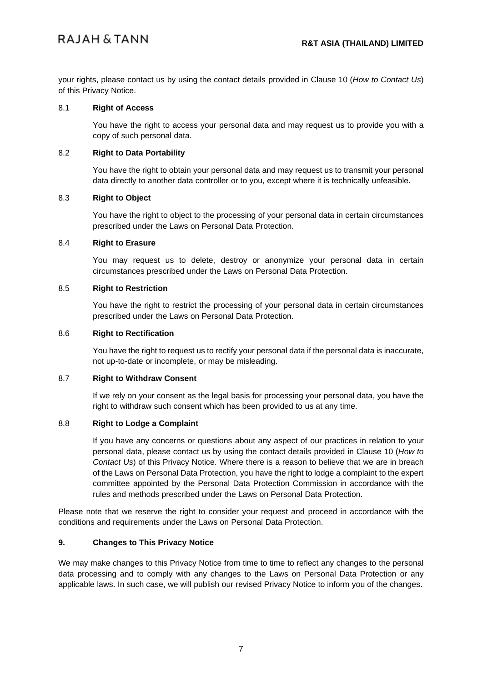# RAJAH & TANN

your rights, please contact us by using the contact details provided in Clause [10](#page-7-0) (*How to Contact Us*) of this Privacy Notice.

#### 8.1 **Right of Access**

You have the right to access your personal data and may request us to provide you with a copy of such personal data.

#### 8.2 **Right to Data Portability**

You have the right to obtain your personal data and may request us to transmit your personal data directly to another data controller or to you, except where it is technically unfeasible.

#### 8.3 **Right to Object**

You have the right to object to the processing of your personal data in certain circumstances prescribed under the Laws on Personal Data Protection.

#### 8.4 **Right to Erasure**

You may request us to delete, destroy or anonymize your personal data in certain circumstances prescribed under the Laws on Personal Data Protection.

## 8.5 **Right to Restriction**

You have the right to restrict the processing of your personal data in certain circumstances prescribed under the Laws on Personal Data Protection.

## 8.6 **Right to Rectification**

You have the right to request us to rectify your personal data if the personal data is inaccurate, not up-to-date or incomplete, or may be misleading.

## 8.7 **Right to Withdraw Consent**

If we rely on your consent as the legal basis for processing your personal data, you have the right to withdraw such consent which has been provided to us at any time.

#### 8.8 **Right to Lodge a Complaint**

If you have any concerns or questions about any aspect of our practices in relation to your personal data, please contact us by using the contact details provided in Clause [10](#page-7-0) (*How to Contact Us*) of this Privacy Notice. Where there is a reason to believe that we are in breach of the Laws on Personal Data Protection, you have the right to lodge a complaint to the expert committee appointed by the Personal Data Protection Commission in accordance with the rules and methods prescribed under the Laws on Personal Data Protection.

Please note that we reserve the right to consider your request and proceed in accordance with the conditions and requirements under the Laws on Personal Data Protection.

## **9. Changes to This Privacy Notice**

We may make changes to this Privacy Notice from time to time to reflect any changes to the personal data processing and to comply with any changes to the Laws on Personal Data Protection or any applicable laws. In such case, we will publish our revised Privacy Notice to inform you of the changes.